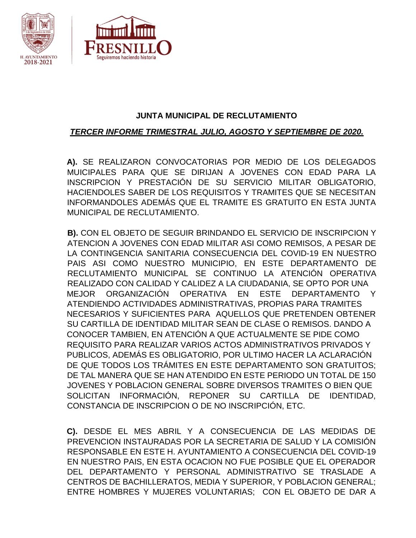



## **JUNTA MUNICIPAL DE RECLUTAMIENTO**

## *TERCER INFORME TRIMESTRAL JULIO, AGOSTO Y SEPTIEMBRE DE 2020.*

**A).** SE REALIZARON CONVOCATORIAS POR MEDIO DE LOS DELEGADOS MUICIPALES PARA QUE SE DIRIJAN A JOVENES CON EDAD PARA LA INSCRIPCION Y PRESTACIÓN DE SU SERVICIO MILITAR OBLIGATORIO, HACIENDOLES SABER DE LOS REQUISITOS Y TRAMITES QUE SE NECESITAN INFORMANDOLES ADEMÁS QUE EL TRAMITE ES GRATUITO EN ESTA JUNTA MUNICIPAL DE RECLUTAMIENTO.

**B).** CON EL OBJETO DE SEGUIR BRINDANDO EL SERVICIO DE INSCRIPCION Y ATENCION A JOVENES CON EDAD MILITAR ASI COMO REMISOS, A PESAR DE LA CONTINGENCIA SANITARIA CONSECUENCIA DEL COVID-19 EN NUESTRO PAIS ASI COMO NUESTRO MUNICIPIO, EN ESTE DEPARTAMENTO DE RECLUTAMIENTO MUNICIPAL SE CONTINUO LA ATENCIÓN OPERATIVA REALIZADO CON CALIDAD Y CALIDEZ A LA CIUDADANIA, SE OPTO POR UNA MEJOR ORGANIZACIÓN OPERATIVA EN ESTE DEPARTAMENTO Y ATENDIENDO ACTIVIDADES ADMINISTRATIVAS, PROPIAS PARA TRAMITES NECESARIOS Y SUFICIENTES PARA AQUELLOS QUE PRETENDEN OBTENER SU CARTILLA DE IDENTIDAD MILITAR SEAN DE CLASE O REMISOS. DANDO A CONOCER TAMBIEN, EN ATENCIÓN A QUE ACTUALMENTE SE PIDE COMO REQUISITO PARA REALIZAR VARIOS ACTOS ADMINISTRATIVOS PRIVADOS Y PUBLICOS, ADEMÁS ES OBLIGATORIO, POR ULTIMO HACER LA ACLARACIÓN DE QUE TODOS LOS TRÁMITES EN ESTE DEPARTAMENTO SON GRATUITOS; DE TAL MANERA QUE SE HAN ATENDIDO EN ESTE PERIODO UN TOTAL DE 150 JOVENES Y POBLACION GENERAL SOBRE DIVERSOS TRAMITES O BIEN QUE SOLICITAN INFORMACIÓN, REPONER SU CARTILLA DE IDENTIDAD, CONSTANCIA DE INSCRIPCION O DE NO INSCRIPCIÓN, ETC.

**C).** DESDE EL MES ABRIL Y A CONSECUENCIA DE LAS MEDIDAS DE PREVENCION INSTAURADAS POR LA SECRETARIA DE SALUD Y LA COMISIÓN RESPONSABLE EN ESTE H. AYUNTAMIENTO A CONSECUENCIA DEL COVID-19 EN NUESTRO PAIS, EN ESTA OCACION NO FUE POSIBLE QUE EL OPERADOR DEL DEPARTAMENTO Y PERSONAL ADMINISTRATIVO SE TRASLADE A CENTROS DE BACHILLERATOS, MEDIA Y SUPERIOR, Y POBLACION GENERAL; ENTRE HOMBRES Y MUJERES VOLUNTARIAS; CON EL OBJETO DE DAR A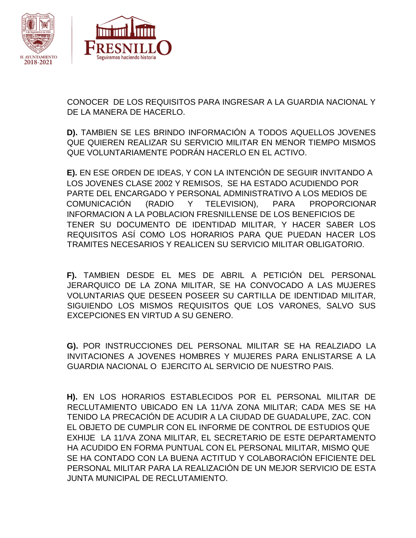

CONOCER DE LOS REQUISITOS PARA INGRESAR A LA GUARDIA NACIONAL Y DE LA MANERA DE HACERLO.

**D).** TAMBIEN SE LES BRINDO INFORMACIÓN A TODOS AQUELLOS JOVENES QUE QUIEREN REALIZAR SU SERVICIO MILITAR EN MENOR TIEMPO MISMOS QUE VOLUNTARIAMENTE PODRÁN HACERLO EN EL ACTIVO.

**E).** EN ESE ORDEN DE IDEAS, Y CON LA INTENCIÓN DE SEGUIR INVITANDO A LOS JOVENES CLASE 2002 Y REMISOS, SE HA ESTADO ACUDIENDO POR PARTE DEL ENCARGADO Y PERSONAL ADMINISTRATIVO A LOS MEDIOS DE COMUNICACIÓN (RADIO Y TELEVISION), PARA PROPORCIONAR INFORMACION A LA POBLACION FRESNILLENSE DE LOS BENEFICIOS DE TENER SU DOCUMENTO DE IDENTIDAD MILITAR, Y HACER SABER LOS REQUISITOS ASÍ COMO LOS HORARIOS PARA QUE PUEDAN HACER LOS TRAMITES NECESARIOS Y REALICEN SU SERVICIO MILITAR OBLIGATORIO.

**F).** TAMBIEN DESDE EL MES DE ABRIL A PETICIÓN DEL PERSONAL JERARQUICO DE LA ZONA MILITAR, SE HA CONVOCADO A LAS MUJERES VOLUNTARIAS QUE DESEEN POSEER SU CARTILLA DE IDENTIDAD MILITAR, SIGUIENDO LOS MISMOS REQUISITOS QUE LOS VARONES, SALVO SUS EXCEPCIONES EN VIRTUD A SU GENERO.

**G).** POR INSTRUCCIONES DEL PERSONAL MILITAR SE HA REALZIADO LA INVITACIONES A JOVENES HOMBRES Y MUJERES PARA ENLISTARSE A LA GUARDIA NACIONAL O EJERCITO AL SERVICIO DE NUESTRO PAIS.

**H).** EN LOS HORARIOS ESTABLECIDOS POR EL PERSONAL MILITAR DE RECLUTAMIENTO UBICADO EN LA 11/VA ZONA MILITAR; CADA MES SE HA TENIDO LA PRECACIÓN DE ACUDIR A LA CIUDAD DE GUADALUPE, ZAC. CON EL OBJETO DE CUMPLIR CON EL INFORME DE CONTROL DE ESTUDIOS QUE EXHIJE LA 11/VA ZONA MILITAR, EL SECRETARIO DE ESTE DEPARTAMENTO HA ACUDIDO EN FORMA PUNTUAL CON EL PERSONAL MILITAR, MISMO QUE SE HA CONTADO CON LA BUENA ACTITUD Y COLABORACIÓN EFICIENTE DEL PERSONAL MILITAR PARA LA REALIZACIÓN DE UN MEJOR SERVICIO DE ESTA JUNTA MUNICIPAL DE RECLUTAMIENTO.